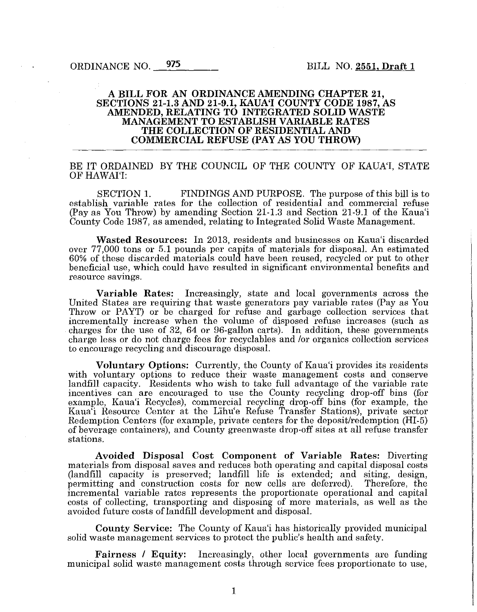### A BILL FOR AN ORDINANCE AMENDING CHAPTER 21, SECTIONS 21-1.3 AND 21-9.1, KAUA'I COUNTY CODE 1987, AS AMENDED, RELATING TO INTEGRATED SOLID WASTE MANAGEMENT TO ESTABLISH VARIABLE RATES THE COLLECTION OF RESIDENTIAL AND COMMERCIAL REFUSE (PAY AS YOU THROW)

## BE IT ORDAINED BY THE COUNCIL OF THE COUNTY OF KAUA'I, STATE OF HAWAI'I:

SECTION 1. FINDINGS AND PURPOSE. The purpose of this bill is to establish variable rates for the collection of residential and commercial refuse (Pay as You Throw) by amending Section 21-1.3 and Section 21-9.1 of the Kaua'i County Code 1987, as amended, relating to Integrated Solid Waste Management.

Wasted Resources: In 2013, residents and businesses on Kaua'i discarded over 77,000 tons or 5.1 pounds per capita of materials for disposal. An estimated 60% of these discarded materials could have been reused, recycled or put to other beneficial use, which could have resulted in significant environmental benefits and resource savings.

Variable Rates: Increasingly, state and local governments across the United States are requiring that waste generators pay variable rates (Pay as You Throw or PAYT) or be charged for refuse and garbage collection services that incrementally increase when the volume of disposed refuse increases (such as charges for the use of 32, 64 or 96-gallon carts). In addition, these governments charge less or do not charge fees for recyclables and /or organics collection services to encourage recycling and discourage disposal.

Voluntary Options: Currently, the County of Kaua'i provides its residents with voluntary options to reduce their waste management costs and conserve landfill capacity. Residents who wish to take full advantage of the variable rate incentives can are encouraged to use the County recycling drop-off bins (for example, Kaua'i Recycles), commercial recycling drop-off bins (for example, the Kaua'i Resource Center at the Lihu'e Refuse Transfer Stations), private sector Redemption Centers (for example, private centers for the deposit/redemption (HI-5) of beverage containers), and County green waste drop-off sites at all refuse transfer stations.

Avoided Disposal Cost Component of Variable Rates: Diverting materials from disposal saves and reduces both operating and capital disposal costs (landfill capacity is preserved; landfill life is extended; and siting, design, permitting and construction costs for new cells are deferred). incremental variable rates represents the proportionate operational and capital costs of collecting, transporting and disposing of more materials, as well as the avoided future costs of landfill development and disposal.

County Service: The County of Kaua'i has historically provided municipal solid waste management services to protect the public's health and safety.

Fairness *I* Equity: Increasingly, other local governments are funding municipal solid waste management costs through service fees proportionate to use,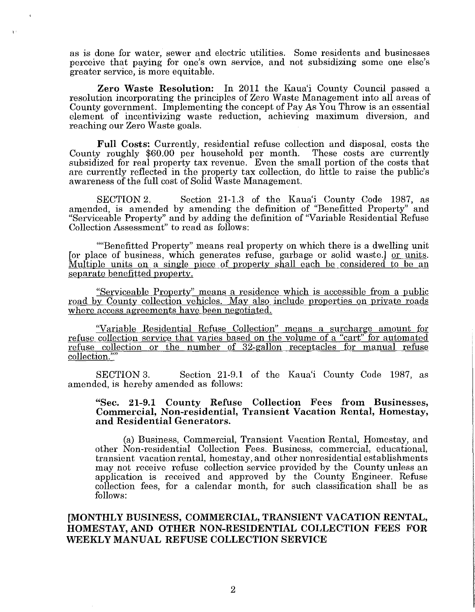as is done for water, sewer and electric utilities. Some residents and businesses perceive that paying for one's own service, and not subsidizing some one else's greater service, is more equitable.

 $\chi \sim$ 

Zero Waste Resolution: In 2011 the Kaua'i County Council passed a resolution incorporating the principles of Zero Waste Management into all areas of County government. Implementing the concept of Pay As You Throw is an essential element of incentivizing waste reduction, achieving maximum diversion, and reaching our Zero Waste goals.

Full Costs: Currently, residential refuse collection and disposal, costs the County roughly \$60.00 per household per month. subsidized for real property tax revenue. Even the small portion of the costs that are currently reflected in the property tax collection, do little to raise the public's awareness of the full cost of Solid Waste Management.

SECTION 2. Section 21-1.3 of the Kaua'i County Code 1987, as amended, is amended by amending the definition of "Benefitted Property" and "Serviceable Property" and by adding the definition of "Variable Residential Refuse Collection Assessment" to read as follows:

""Benefitted Property" means real property on which there is a dwelling unit [or place of business, which generates refuse, garbage or solid waste.] or units. Multiple units on a single piece of property shall each be considered to be an separate benefitted property.

"Serviceable Property" means a residence which is accessible from a public road by County collection vehicles. May also include properties on private roads where access agreements have been negotiated.

"Variable Residential Refuse Collection" means a surcharge amount for refuse collection service that varies based on the volume of a "cart" for automated refuse collection or the number of 32-gallon receptacles for manual refuse collection.""

SECTION 3. Section 21-9.1 of the Kaua'i County Code 1987, as amended, is hereby amended as follows:

## "Sec. 21-9.1 County Refuse Collection Fees from Businesses, Commercial, Non-residential, Transient Vacation Rental, Homestay, and Residential Generators.

(a) Business, Commercial, Transient Vacation Rental, Homestay, and other Non-residential Collection Fees. Business, commercial, educational, transient vacation rental, homestay, and other nonresidential establishments may not receive refuse collection service provided by the County unless an application is received and approved by the County Engineer. Refuse collection fees, for a calendar month, for such classification shall be as follows:

[MONTHLY BUSINESS, COMMERCIAL, TRANSIENT VACATION RENTAL, HOMESTAY, AND OTHER NON-RESIDENTIAL COLLECTION FEES FOR WEEKLY MANUAL REFUSE COLLECTION SERVICE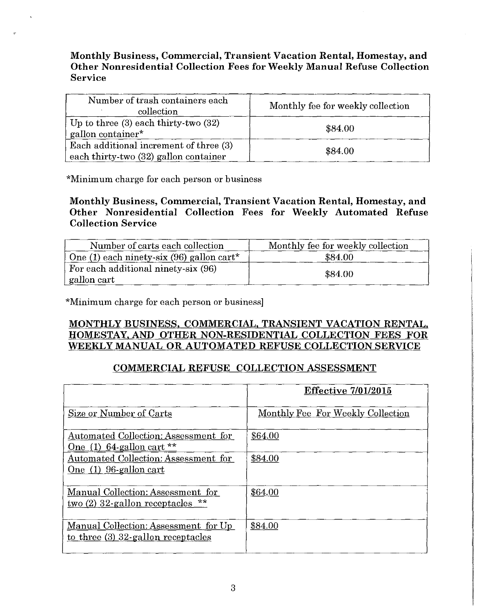# Monthly Business, Commercial, Transient Vacation Rental, Homestay, and Other Nonresidential Collection Fees for Weekly Manual Refuse Collection Service

| Number of trash containers each<br>collection                                   | Monthly fee for weekly collection |
|---------------------------------------------------------------------------------|-----------------------------------|
| Up to three $(3)$ each thirty-two $(32)$<br>gallon container*                   | \$84.00                           |
| Each additional increment of three (3)<br>each thirty-two (32) gallon container | \$84.00                           |

\*Minimum charge for each person or business

# Monthly Business, Commercial, Transient Vacation Rental, Homestay, and Other Nonresidential Collection Fees for Weekly Automated Refuse Collection Service

| Number of carts each collection                      | Monthly fee for weekly collection |
|------------------------------------------------------|-----------------------------------|
| $\vert$ One (1) each ninety-six (96) gallon cart*    | \$84.00                           |
| For each additional ninety-six (96)<br>  gallon cart | \$84.00                           |

\*Minimum charge for each person or business]

# MONTHLY BUSINESS. COMMERCIAL, TRANSIENT VACATION RENTAL. HOMESTAY. AND OTHER NON-RESIDENTIAL COLLECTION FEES FOR WEEKLY MANUAL OR AUTOMATED REFUSE COLLECTION SERVICE

# COMMERCIAL REFUSE COLLECTION ASSESSMENT

|                                                                                          | <b>Effective 7/01/2015</b>        |
|------------------------------------------------------------------------------------------|-----------------------------------|
| Size or Number of Carts                                                                  | Monthly Fee For Weekly Collection |
| Automated Collection: Assessment for<br>One (1) $64$ -gallon cart **                     | \$64.00                           |
| Automated Collection: Assessment for<br>One (1) 96-gallon cart                           | \$84.00                           |
| Manual Collection: Assessment for<br><u>two (2) 32-gallon receptacles <math>*</math></u> | \$64.00                           |
| Manual Collection: Assessment for Up<br>to three $(3)$ 32-gallon receptacles             | \$84.00                           |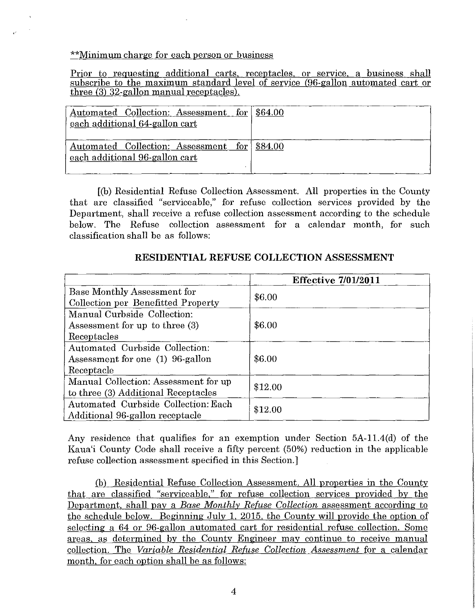\*\*Minimum charge for each person or business

Prior to requesting additional carts, receptacles, or service. a business shall subscribe to the maximum standard level of service (96-gallon automated cart or three (3) 32-gallon manual receptacles).

| Automated Collection: Assessment for \$64.00<br>each additional 64-gallon cart |  |
|--------------------------------------------------------------------------------|--|
| Automated Collection: Assessment for \$84.00<br>each additional 96-gallon cart |  |

[(b) Residential Refuse Collection Assessment. All properties in the County that are classified "serviceable," for refuse collection services provided by the Department, shall receive a refuse collection assessment according to the schedule below. The Refuse collection assessment for a calendar month, for such classification shall be as follows:

|                                      | <b>Effective 7/01/2011</b> |
|--------------------------------------|----------------------------|
| Base Monthly Assessment for          |                            |
| Collection per Benefitted Property   | \$6.00                     |
| Manual Curbside Collection:          |                            |
| Assessment for up to three (3)       | \$6.00                     |
| Receptacles                          |                            |
| Automated Curbside Collection:       |                            |
| Assessment for one (1) 96-gallon     | \$6.00                     |
| Receptacle                           |                            |
| Manual Collection: Assessment for up | \$12.00                    |
| to three (3) Additional Receptacles  |                            |
| Automated Curbside Collection: Each  | \$12.00                    |
| Additional 96-gallon receptacle      |                            |

## **RESIDENTIAL REFUSE COLLECTION ASSESSMENT**

Any residence that qualifies for an exemption under Section 5A-11.4(d) of the Kaua'i County Code shall receive a fifty percent (50%) reduction in the applicable refuse collection assessment specified in this Section.]

(b) Residential Refuse Collection Assessment. All properties in the County that are classified "serviceable," for refuse collection services provided by the Department, shall pay a *Base Monthly Refuse Collection* assessment according to the schedule below. Beginning July 1, 2015, the County will provide the option of selecting a 64 or 96-gallon automated cart for residential refuse collection. Some areas, as determined by the County Engineer may continue to receive manual collection. The *Variable Residential Refuse Collection Assessment* for a calendar month, for each option shall be as follows: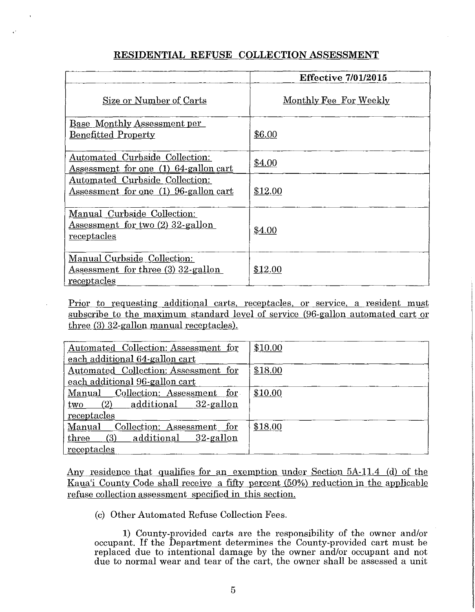# **RESIDENTIAL REFUSE COLLECTION ASSESSMENT**

|                                                                         | <b>Effective 7/01/2015</b> |
|-------------------------------------------------------------------------|----------------------------|
| Size or Number of Carts                                                 | Monthly Fee For Weekly     |
| Base Monthly Assessment per                                             |                            |
| <b>Benefitted Property</b>                                              | \$6.00                     |
|                                                                         |                            |
| Automated Curbside Collection:<br>Assessment for one (1) 64-gallon cart | \$4.00                     |
| Automated Curbside Collection:                                          |                            |
| Assessment for one (1) 96-gallon cart                                   | \$12.00                    |
|                                                                         |                            |
| Manual Curbside Collection:                                             |                            |
| Assessment for two (2) 32-gallon                                        | \$4.00                     |
| receptacles                                                             |                            |
|                                                                         |                            |
| Manual Curbside Collection:                                             |                            |
| Assessment for three (3) 32-gallon<br>receptacles                       | \$12.00                    |
|                                                                         |                            |

Prior to requesting additional carts. receptacles. or service. a resident must subscribe to the maximum standard level of service (96-gallon automated cart or three (3) 32-gallon manual receptacles).

| Automated Collection: Assessment for | \$10.00 |
|--------------------------------------|---------|
| each additional 64-gallon cart       |         |
| Automated Collection: Assessment for | \$18.00 |
| each additional 96-gallon cart       |         |
| Manual Collection: Assessment for    | \$10.00 |
| additional 32-gallon<br>(2)<br>two   |         |
| receptacles                          |         |
| Manual Collection: Assessment for    | \$18.00 |
| additional 32-gallon<br>(3)<br>three |         |
| receptacles                          |         |

Any residence that qualifies for an exemption under Section 5A-11.4 (d) of the Kaua'i County Code shall receive a fifty percent (50%) reduction in the applicable refuse collection assessment specified in this section.

(c) Other Automated Refuse Collection Fees.

**1)** County-provided carts are the responsibility of the owner and/or occupant. If the Department determines the County-provided cart must be replaced due to intentional damage by the owner and/or occupant and not due to normal wear and tear of the cart, the owner shall be assessed a unit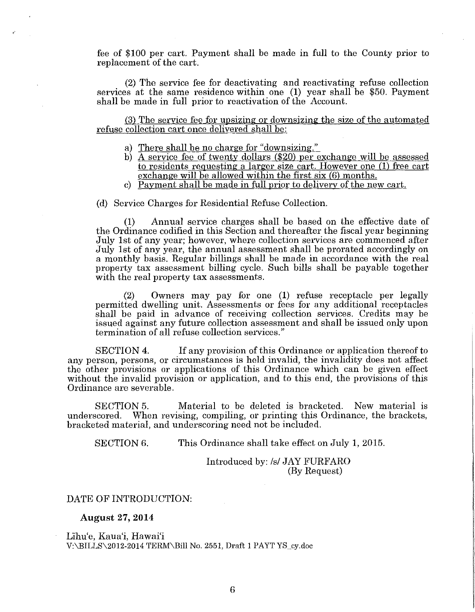fee of \$100 per cart. Payment shall be made in full to the County prior to replacement of the cart.

(2) The service fee for deactivating and reactivating refuse collection services at the same residence within one **(1)** year shall be \$50. Payment shall be made in full prior to reactivation of the Account.

(3) The service fee for upsizing or downsizing the size of the automated refuse collection cart once delivered shall be:

- a) There shall be no charge for "downsizing."
- b) *A* service fee of twenty dollars (\$20) per exchange will be assessed to residents requesting a larger size cart. However one (1) free cart exchange will be allowed within the first six (6) months.
- c) Payment shall be made in full prior to delivery of the new cart.

(d) Service Charges for Residential Refuse Collection.

(1) Annual service charges shall be based on the effective date of the Ordinance codified in this Section and thereafter the fiscal year beginning July 1st of any year; however, where collection services are commenced after July 1st of any year, the annual assessment shall be prorated accordingly on a monthly basis. Regular billings shall be made in accordance with the real property tax assessment billing cycle. Such bills shall be payable together with the real property tax assessments.

(2) Owners may pay for one (1) refuse receptacle per legally permitted dwelling unit. Assessments or fees for any additional receptacles shall be paid in advance of receiving collection services. Credits may be issued against any future collection assessment and shall be issued only upon termination of all refuse collection services."

SECTION 4. If any provision of this Ordinance or application thereof to any person, persons, or circumstances is held invalid, the invalidity does not affect the other provisions or applications of this Ordinance which can be given effect without the invalid provision or application, and to this end, the provisions of this Ordinance are severable.

SECTION 5. Material to be deleted is bracketed. New material is underscored. When revising, compiling, or printing this Ordinance, the brackets, bracketed material, and underscoring need not be included.

SECTION 6. This Ordinance shall take effect on July 1, 2015.

Introduced by: */s/* JAY FURFARO (By Request)

#### DATE OF INTRODUCTION:

**August 27, 2014** 

Lihu'e, Kaua'i, Hawai'i V:\BILLS\2012-2014 TERM\Bill No. 2551, Draft 1 PAYT YS\_cy.doc